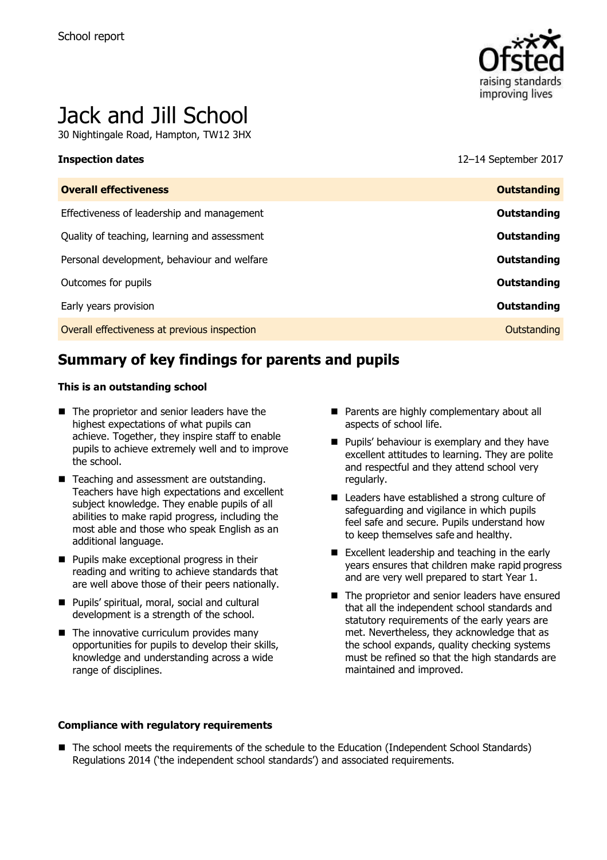

# Jack and Jill School

30 Nightingale Road, Hampton, TW12 3HX

**Inspection dates** 12–14 September 2017

| <b>Overall effectiveness</b>                 | <b>Outstanding</b> |
|----------------------------------------------|--------------------|
| Effectiveness of leadership and management   | Outstanding        |
| Quality of teaching, learning and assessment | Outstanding        |
| Personal development, behaviour and welfare  | Outstanding        |
| Outcomes for pupils                          | Outstanding        |
| Early years provision                        | Outstanding        |
| Overall effectiveness at previous inspection | Outstanding        |
|                                              |                    |

# **Summary of key findings for parents and pupils**

#### **This is an outstanding school**

- The proprietor and senior leaders have the highest expectations of what pupils can achieve. Together, they inspire staff to enable pupils to achieve extremely well and to improve the school.
- Teaching and assessment are outstanding. Teachers have high expectations and excellent subject knowledge. They enable pupils of all abilities to make rapid progress, including the most able and those who speak English as an additional language.
- **Pupils make exceptional progress in their** reading and writing to achieve standards that are well above those of their peers nationally.
- **Pupils' spiritual, moral, social and cultural** development is a strength of the school.
- $\blacksquare$  The innovative curriculum provides many opportunities for pupils to develop their skills, knowledge and understanding across a wide range of disciplines.
- **Parents are highly complementary about all** aspects of school life.
- **Pupils' behaviour is exemplary and they have** excellent attitudes to learning. They are polite and respectful and they attend school very regularly.
- Leaders have established a strong culture of safeguarding and vigilance in which pupils feel safe and secure. Pupils understand how to keep themselves safe and healthy.
- Excellent leadership and teaching in the early years ensures that children make rapid progress and are very well prepared to start Year 1.
- The proprietor and senior leaders have ensured that all the independent school standards and statutory requirements of the early years are met. Nevertheless, they acknowledge that as the school expands, quality checking systems must be refined so that the high standards are maintained and improved.

#### **Compliance with regulatory requirements**

■ The school meets the requirements of the schedule to the Education (Independent School Standards) Regulations 2014 ('the independent school standards') and associated requirements.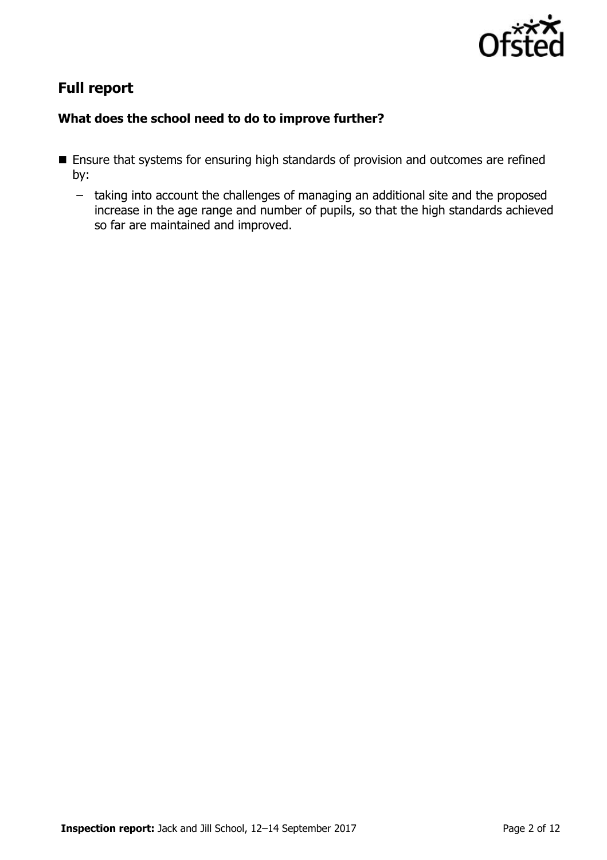

# **Full report**

### **What does the school need to do to improve further?**

- **Ensure that systems for ensuring high standards of provision and outcomes are refined** by:
	- taking into account the challenges of managing an additional site and the proposed increase in the age range and number of pupils, so that the high standards achieved so far are maintained and improved.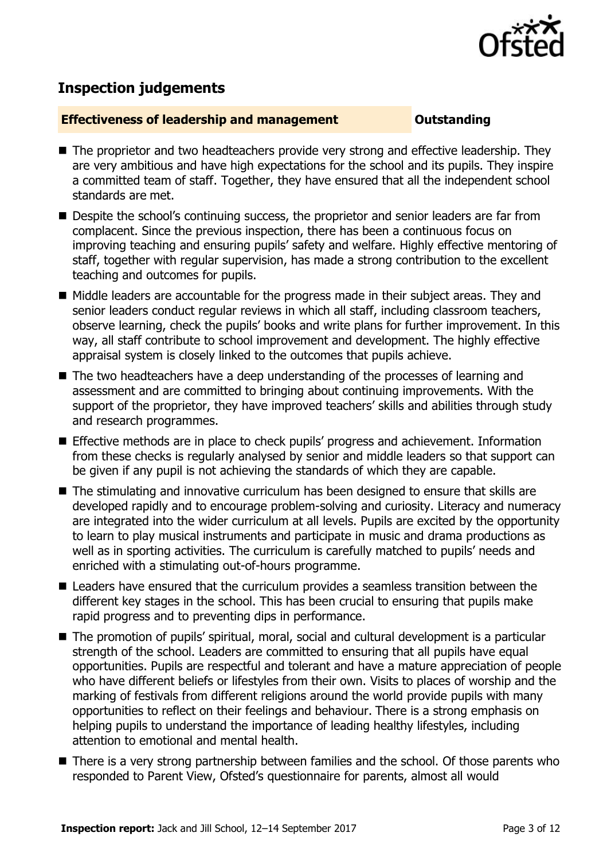

## **Inspection judgements**

#### **Effectiveness of leadership and management <b>Constanting**

- The proprietor and two headteachers provide very strong and effective leadership. They are very ambitious and have high expectations for the school and its pupils. They inspire a committed team of staff. Together, they have ensured that all the independent school standards are met.
- **Despite the school's continuing success, the proprietor and senior leaders are far from** complacent. Since the previous inspection, there has been a continuous focus on improving teaching and ensuring pupils' safety and welfare. Highly effective mentoring of staff, together with regular supervision, has made a strong contribution to the excellent teaching and outcomes for pupils.
- Middle leaders are accountable for the progress made in their subject areas. They and senior leaders conduct regular reviews in which all staff, including classroom teachers, observe learning, check the pupils' books and write plans for further improvement. In this way, all staff contribute to school improvement and development. The highly effective appraisal system is closely linked to the outcomes that pupils achieve.
- The two headteachers have a deep understanding of the processes of learning and assessment and are committed to bringing about continuing improvements. With the support of the proprietor, they have improved teachers' skills and abilities through study and research programmes.
- **Effective methods are in place to check pupils' progress and achievement. Information** from these checks is regularly analysed by senior and middle leaders so that support can be given if any pupil is not achieving the standards of which they are capable.
- The stimulating and innovative curriculum has been designed to ensure that skills are developed rapidly and to encourage problem-solving and curiosity. Literacy and numeracy are integrated into the wider curriculum at all levels. Pupils are excited by the opportunity to learn to play musical instruments and participate in music and drama productions as well as in sporting activities. The curriculum is carefully matched to pupils' needs and enriched with a stimulating out-of-hours programme.
- Leaders have ensured that the curriculum provides a seamless transition between the different key stages in the school. This has been crucial to ensuring that pupils make rapid progress and to preventing dips in performance.
- The promotion of pupils' spiritual, moral, social and cultural development is a particular strength of the school. Leaders are committed to ensuring that all pupils have equal opportunities. Pupils are respectful and tolerant and have a mature appreciation of people who have different beliefs or lifestyles from their own. Visits to places of worship and the marking of festivals from different religions around the world provide pupils with many opportunities to reflect on their feelings and behaviour. There is a strong emphasis on helping pupils to understand the importance of leading healthy lifestyles, including attention to emotional and mental health.
- There is a very strong partnership between families and the school. Of those parents who responded to Parent View, Ofsted's questionnaire for parents, almost all would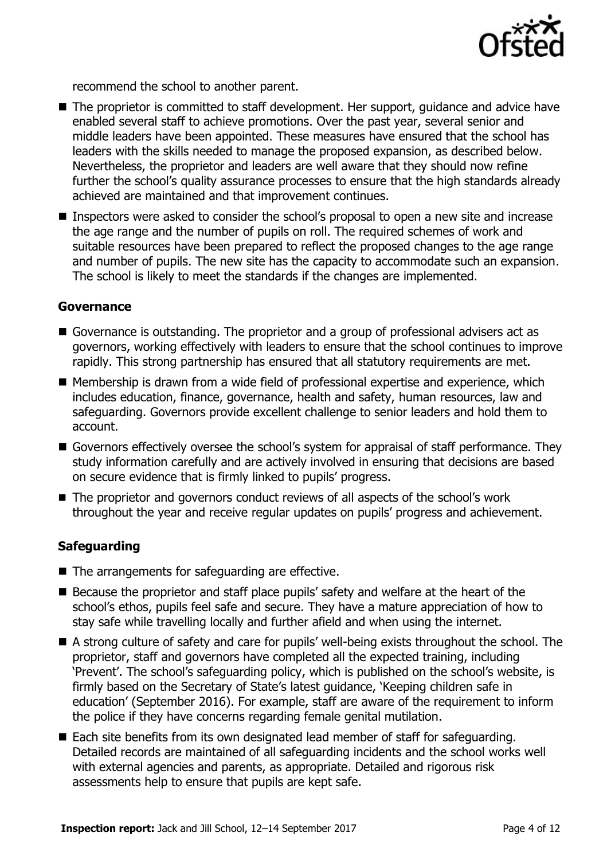

recommend the school to another parent.

- The proprietor is committed to staff development. Her support, quidance and advice have enabled several staff to achieve promotions. Over the past year, several senior and middle leaders have been appointed. These measures have ensured that the school has leaders with the skills needed to manage the proposed expansion, as described below. Nevertheless, the proprietor and leaders are well aware that they should now refine further the school's quality assurance processes to ensure that the high standards already achieved are maintained and that improvement continues.
- **Inspectors were asked to consider the school's proposal to open a new site and increase** the age range and the number of pupils on roll. The required schemes of work and suitable resources have been prepared to reflect the proposed changes to the age range and number of pupils. The new site has the capacity to accommodate such an expansion. The school is likely to meet the standards if the changes are implemented.

#### **Governance**

- Governance is outstanding. The proprietor and a group of professional advisers act as governors, working effectively with leaders to ensure that the school continues to improve rapidly. This strong partnership has ensured that all statutory requirements are met.
- Membership is drawn from a wide field of professional expertise and experience, which includes education, finance, governance, health and safety, human resources, law and safeguarding. Governors provide excellent challenge to senior leaders and hold them to account.
- Governors effectively oversee the school's system for appraisal of staff performance. They study information carefully and are actively involved in ensuring that decisions are based on secure evidence that is firmly linked to pupils' progress.
- The proprietor and governors conduct reviews of all aspects of the school's work throughout the year and receive regular updates on pupils' progress and achievement.

#### **Safeguarding**

- The arrangements for safeguarding are effective.
- Because the proprietor and staff place pupils' safety and welfare at the heart of the school's ethos, pupils feel safe and secure. They have a mature appreciation of how to stay safe while travelling locally and further afield and when using the internet.
- A strong culture of safety and care for pupils' well-being exists throughout the school. The proprietor, staff and governors have completed all the expected training, including 'Prevent'. The school's safeguarding policy, which is published on the school's website, is firmly based on the Secretary of State's latest guidance, 'Keeping children safe in education' (September 2016). For example, staff are aware of the requirement to inform the police if they have concerns regarding female genital mutilation.
- Each site benefits from its own designated lead member of staff for safeguarding. Detailed records are maintained of all safeguarding incidents and the school works well with external agencies and parents, as appropriate. Detailed and rigorous risk assessments help to ensure that pupils are kept safe.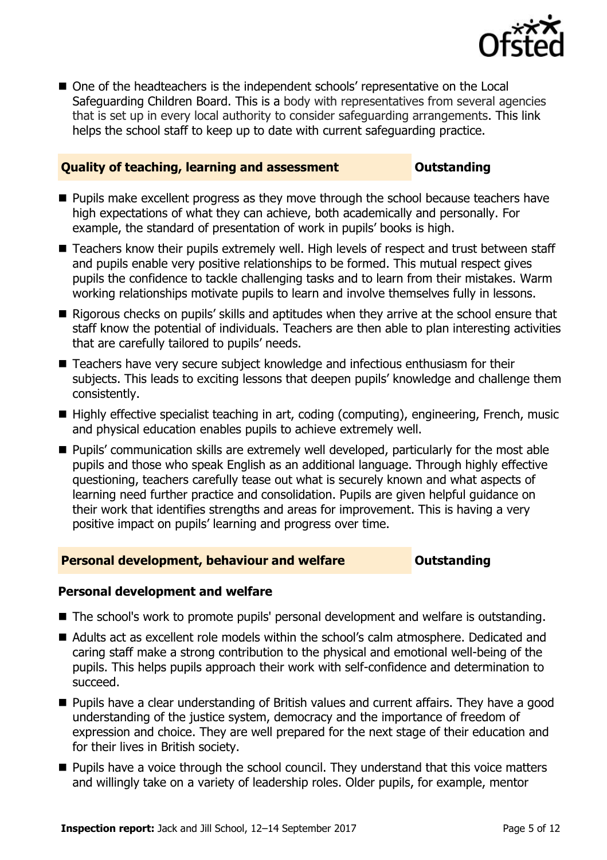

■ One of the headteachers is the independent schools' representative on the Local Safeguarding Children Board. This is a body with representatives from several agencies that is set up in every local authority to consider safeguarding arrangements. This link helps the school staff to keep up to date with current safeguarding practice.

### **Quality of teaching, learning and assessment Outstanding**

- **Pupils make excellent progress as they move through the school because teachers have** high expectations of what they can achieve, both academically and personally. For example, the standard of presentation of work in pupils' books is high.
- Teachers know their pupils extremely well. High levels of respect and trust between staff and pupils enable very positive relationships to be formed. This mutual respect gives pupils the confidence to tackle challenging tasks and to learn from their mistakes. Warm working relationships motivate pupils to learn and involve themselves fully in lessons.
- Rigorous checks on pupils' skills and aptitudes when they arrive at the school ensure that staff know the potential of individuals. Teachers are then able to plan interesting activities that are carefully tailored to pupils' needs.
- Teachers have very secure subject knowledge and infectious enthusiasm for their subjects. This leads to exciting lessons that deepen pupils' knowledge and challenge them consistently.
- Highly effective specialist teaching in art, coding (computing), engineering, French, music and physical education enables pupils to achieve extremely well.
- **Pupils' communication skills are extremely well developed, particularly for the most able** pupils and those who speak English as an additional language. Through highly effective questioning, teachers carefully tease out what is securely known and what aspects of learning need further practice and consolidation. Pupils are given helpful guidance on their work that identifies strengths and areas for improvement. This is having a very positive impact on pupils' learning and progress over time.

### **Personal development, behaviour and welfare <b>COUTS** Outstanding

### **Personal development and welfare**

- The school's work to promote pupils' personal development and welfare is outstanding.
- Adults act as excellent role models within the school's calm atmosphere. Dedicated and caring staff make a strong contribution to the physical and emotional well-being of the pupils. This helps pupils approach their work with self-confidence and determination to succeed.
- **Pupils have a clear understanding of British values and current affairs. They have a good** understanding of the justice system, democracy and the importance of freedom of expression and choice. They are well prepared for the next stage of their education and for their lives in British society.
- **Pupils have a voice through the school council. They understand that this voice matters** and willingly take on a variety of leadership roles. Older pupils, for example, mentor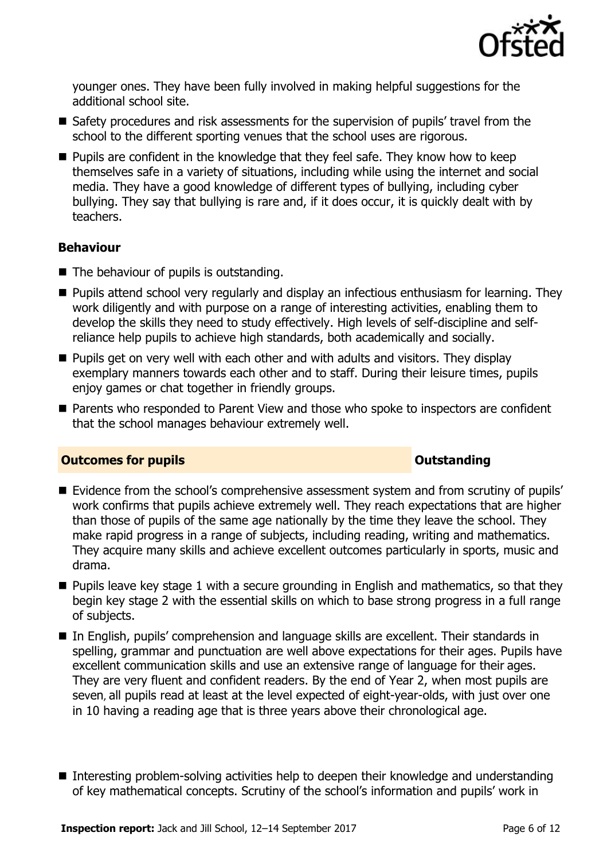

younger ones. They have been fully involved in making helpful suggestions for the additional school site.

- Safety procedures and risk assessments for the supervision of pupils' travel from the school to the different sporting venues that the school uses are rigorous.
- $\blacksquare$  Pupils are confident in the knowledge that they feel safe. They know how to keep themselves safe in a variety of situations, including while using the internet and social media. They have a good knowledge of different types of bullying, including cyber bullying. They say that bullying is rare and, if it does occur, it is quickly dealt with by teachers.

### **Behaviour**

- The behaviour of pupils is outstanding.
- **Pupils attend school very regularly and display an infectious enthusiasm for learning. They** work diligently and with purpose on a range of interesting activities, enabling them to develop the skills they need to study effectively. High levels of self-discipline and selfreliance help pupils to achieve high standards, both academically and socially.
- **Pupils get on very well with each other and with adults and visitors. They display** exemplary manners towards each other and to staff. During their leisure times, pupils enjoy games or chat together in friendly groups.
- Parents who responded to Parent View and those who spoke to inspectors are confident that the school manages behaviour extremely well.

### **Outcomes for pupils Outstanding**

- Evidence from the school's comprehensive assessment system and from scrutiny of pupils' work confirms that pupils achieve extremely well. They reach expectations that are higher than those of pupils of the same age nationally by the time they leave the school. They make rapid progress in a range of subjects, including reading, writing and mathematics. They acquire many skills and achieve excellent outcomes particularly in sports, music and drama.
- $\blacksquare$  Pupils leave key stage 1 with a secure grounding in English and mathematics, so that they begin key stage 2 with the essential skills on which to base strong progress in a full range of subjects.
- In English, pupils' comprehension and language skills are excellent. Their standards in spelling, grammar and punctuation are well above expectations for their ages. Pupils have excellent communication skills and use an extensive range of language for their ages. They are very fluent and confident readers. By the end of Year 2, when most pupils are seven, all pupils read at least at the level expected of eight-year-olds, with just over one in 10 having a reading age that is three years above their chronological age.
- Interesting problem-solving activities help to deepen their knowledge and understanding of key mathematical concepts. Scrutiny of the school's information and pupils' work in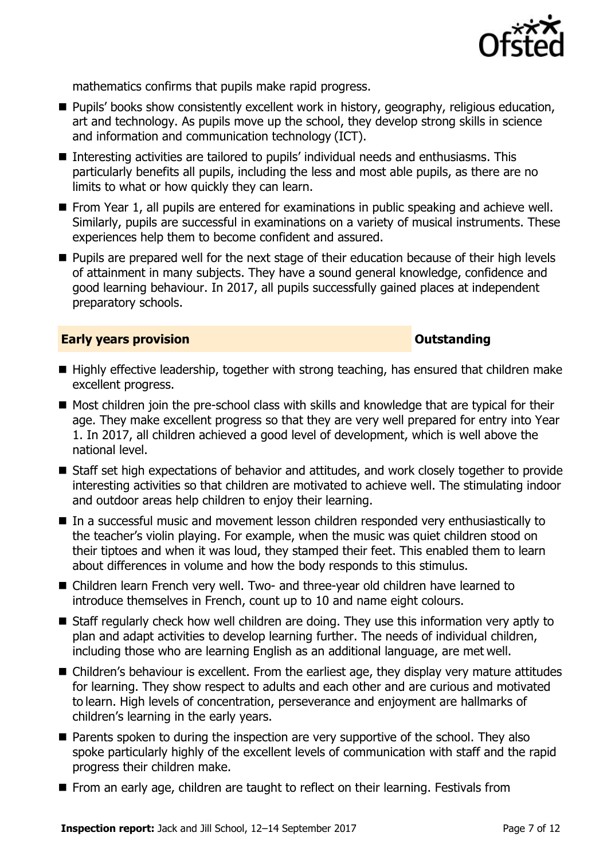

mathematics confirms that pupils make rapid progress.

- **Pupils' books show consistently excellent work in history, geography, religious education,** art and technology. As pupils move up the school, they develop strong skills in science and information and communication technology (ICT).
- Interesting activities are tailored to pupils' individual needs and enthusiasms. This particularly benefits all pupils, including the less and most able pupils, as there are no limits to what or how quickly they can learn.
- **From Year 1, all pupils are entered for examinations in public speaking and achieve well.** Similarly, pupils are successful in examinations on a variety of musical instruments. These experiences help them to become confident and assured.
- **Pupils are prepared well for the next stage of their education because of their high levels** of attainment in many subjects. They have a sound general knowledge, confidence and good learning behaviour. In 2017, all pupils successfully gained places at independent preparatory schools.

#### **Early years provision CONSTANDING TO A RESEARCH CONSTANDING TO A RESEARCH CONSTANDING TO A RESEARCH CONSTANDING TO A RESEARCH CONSTANDING TO A RESEARCH CONSTANDING TO A RESEARCH CONSTANDING TO A RESEARCH CONSTANDING TO**

- Highly effective leadership, together with strong teaching, has ensured that children make excellent progress.
- Most children join the pre-school class with skills and knowledge that are typical for their age. They make excellent progress so that they are very well prepared for entry into Year 1. In 2017, all children achieved a good level of development, which is well above the national level.
- Staff set high expectations of behavior and attitudes, and work closely together to provide interesting activities so that children are motivated to achieve well. The stimulating indoor and outdoor areas help children to enjoy their learning.
- In a successful music and movement lesson children responded very enthusiastically to the teacher's violin playing. For example, when the music was quiet children stood on their tiptoes and when it was loud, they stamped their feet. This enabled them to learn about differences in volume and how the body responds to this stimulus.
- Children learn French very well. Two- and three-year old children have learned to introduce themselves in French, count up to 10 and name eight colours.
- Staff regularly check how well children are doing. They use this information very aptly to plan and adapt activities to develop learning further. The needs of individual children, including those who are learning English as an additional language, are met well.
- Children's behaviour is excellent. From the earliest age, they display very mature attitudes for learning. They show respect to adults and each other and are curious and motivated to learn. High levels of concentration, perseverance and enjoyment are hallmarks of children's learning in the early years.
- **Parents spoken to during the inspection are very supportive of the school. They also** spoke particularly highly of the excellent levels of communication with staff and the rapid progress their children make.
- From an early age, children are taught to reflect on their learning. Festivals from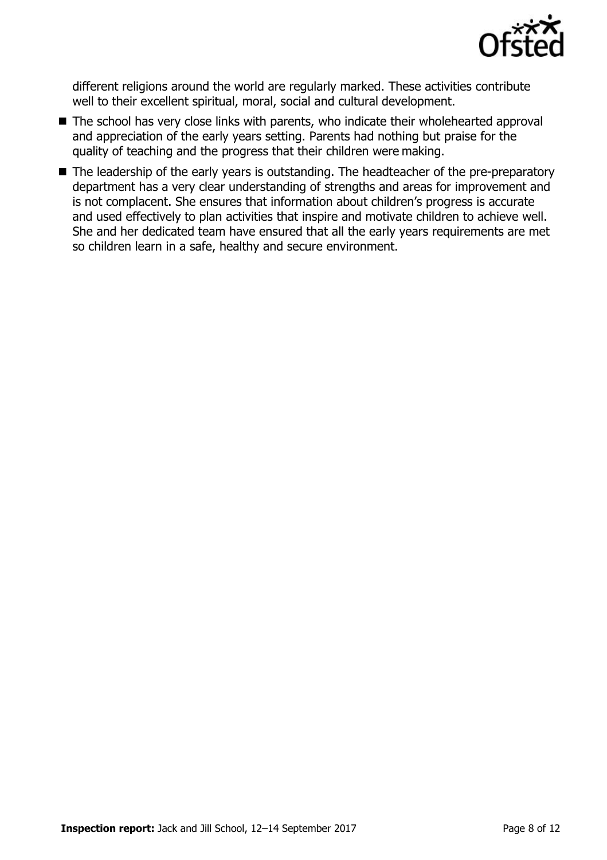

different religions around the world are regularly marked. These activities contribute well to their excellent spiritual, moral, social and cultural development.

- The school has very close links with parents, who indicate their wholehearted approval and appreciation of the early years setting. Parents had nothing but praise for the quality of teaching and the progress that their children were making.
- The leadership of the early years is outstanding. The headteacher of the pre-preparatory department has a very clear understanding of strengths and areas for improvement and is not complacent. She ensures that information about children's progress is accurate and used effectively to plan activities that inspire and motivate children to achieve well. She and her dedicated team have ensured that all the early years requirements are met so children learn in a safe, healthy and secure environment.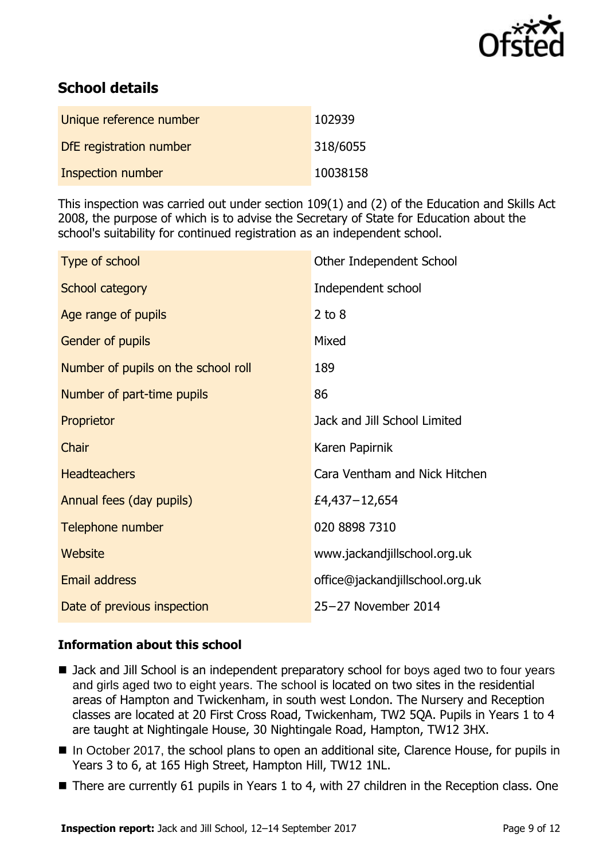

# **School details**

| Unique reference number  | 102939   |
|--------------------------|----------|
| DfE registration number  | 318/6055 |
| <b>Inspection number</b> | 10038158 |

This inspection was carried out under section 109(1) and (2) of the Education and Skills Act 2008, the purpose of which is to advise the Secretary of State for Education about the school's suitability for continued registration as an independent school.

| Type of school                      | Other Independent School        |
|-------------------------------------|---------------------------------|
| School category                     | Independent school              |
| Age range of pupils                 | $2$ to $8$                      |
| Gender of pupils                    | Mixed                           |
| Number of pupils on the school roll | 189                             |
| Number of part-time pupils          | 86                              |
| Proprietor                          | Jack and Jill School Limited    |
| Chair                               | Karen Papirnik                  |
| <b>Headteachers</b>                 | Cara Ventham and Nick Hitchen   |
| Annual fees (day pupils)            | £4,437-12,654                   |
| Telephone number                    | 020 8898 7310                   |
| Website                             | www.jackandjillschool.org.uk    |
| Email address                       | office@jackandjillschool.org.uk |
| Date of previous inspection         | 25-27 November 2014             |

### **Information about this school**

- Jack and Jill School is an independent preparatory school for boys aged two to four years and girls aged two to eight years. The school is located on two sites in the residential areas of Hampton and Twickenham, in south west London. The Nursery and Reception classes are located at 20 First Cross Road, Twickenham, TW2 5QA. Pupils in Years 1 to 4 are taught at Nightingale House, 30 Nightingale Road, Hampton, TW12 3HX.
- In October 2017, the school plans to open an additional site, Clarence House, for pupils in Years 3 to 6, at 165 High Street, Hampton Hill, TW12 1NL.
- There are currently 61 pupils in Years 1 to 4, with 27 children in the Reception class. One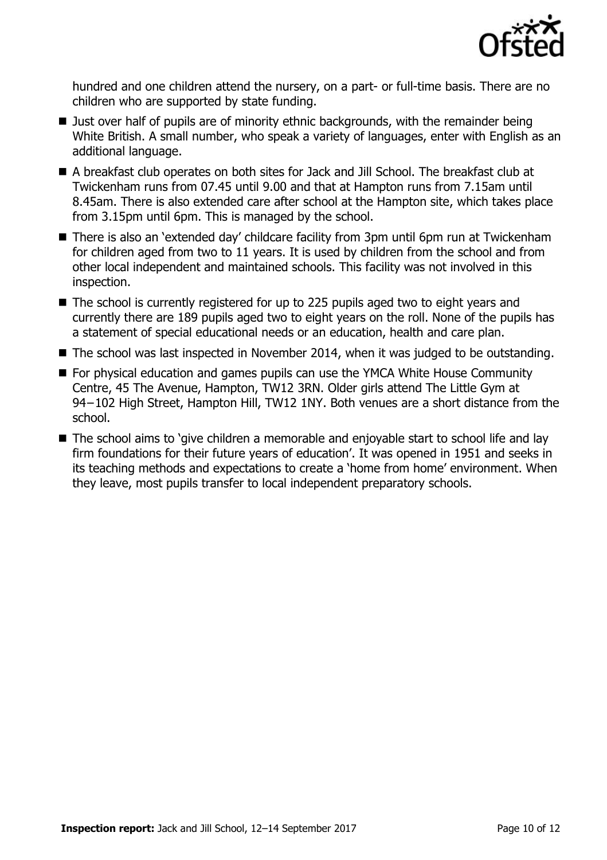

hundred and one children attend the nursery, on a part- or full-time basis. There are no children who are supported by state funding.

- Just over half of pupils are of minority ethnic backgrounds, with the remainder being White British. A small number, who speak a variety of languages, enter with English as an additional language.
- A breakfast club operates on both sites for Jack and Jill School. The breakfast club at Twickenham runs from 07.45 until 9.00 and that at Hampton runs from 7.15am until 8.45am. There is also extended care after school at the Hampton site, which takes place from 3.15pm until 6pm. This is managed by the school.
- There is also an 'extended day' childcare facility from 3pm until 6pm run at Twickenham for children aged from two to 11 years. It is used by children from the school and from other local independent and maintained schools. This facility was not involved in this inspection.
- The school is currently registered for up to 225 pupils aged two to eight years and currently there are 189 pupils aged two to eight years on the roll. None of the pupils has a statement of special educational needs or an education, health and care plan.
- The school was last inspected in November 2014, when it was judged to be outstanding.
- For physical education and games pupils can use the YMCA White House Community Centre, 45 The Avenue, Hampton, TW12 3RN. Older girls attend The Little Gym at 94−102 High Street, Hampton Hill, TW12 1NY. Both venues are a short distance from the school.
- The school aims to 'give children a memorable and enjoyable start to school life and lay firm foundations for their future years of education'. It was opened in 1951 and seeks in its teaching methods and expectations to create a 'home from home' environment. When they leave, most pupils transfer to local independent preparatory schools.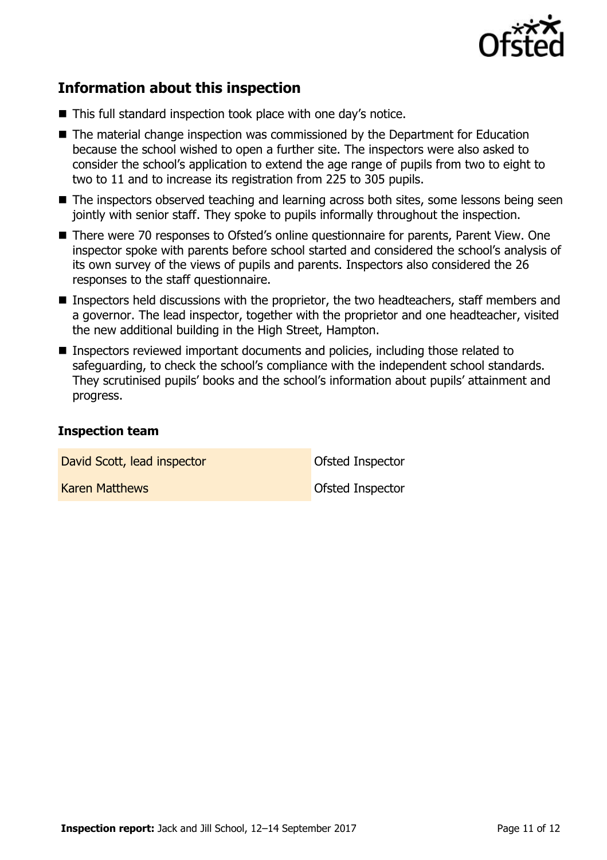

# **Information about this inspection**

- This full standard inspection took place with one day's notice.
- The material change inspection was commissioned by the Department for Education because the school wished to open a further site. The inspectors were also asked to consider the school's application to extend the age range of pupils from two to eight to two to 11 and to increase its registration from 225 to 305 pupils.
- The inspectors observed teaching and learning across both sites, some lessons being seen jointly with senior staff. They spoke to pupils informally throughout the inspection.
- There were 70 responses to Ofsted's online questionnaire for parents, Parent View. One inspector spoke with parents before school started and considered the school's analysis of its own survey of the views of pupils and parents. Inspectors also considered the 26 responses to the staff questionnaire.
- Inspectors held discussions with the proprietor, the two headteachers, staff members and a governor. The lead inspector, together with the proprietor and one headteacher, visited the new additional building in the High Street, Hampton.
- Inspectors reviewed important documents and policies, including those related to safeguarding, to check the school's compliance with the independent school standards. They scrutinised pupils' books and the school's information about pupils' attainment and progress.

#### **Inspection team**

David Scott, lead inspector and offsted Inspector

Karen Matthews **Contact Institute Institute Inspector**